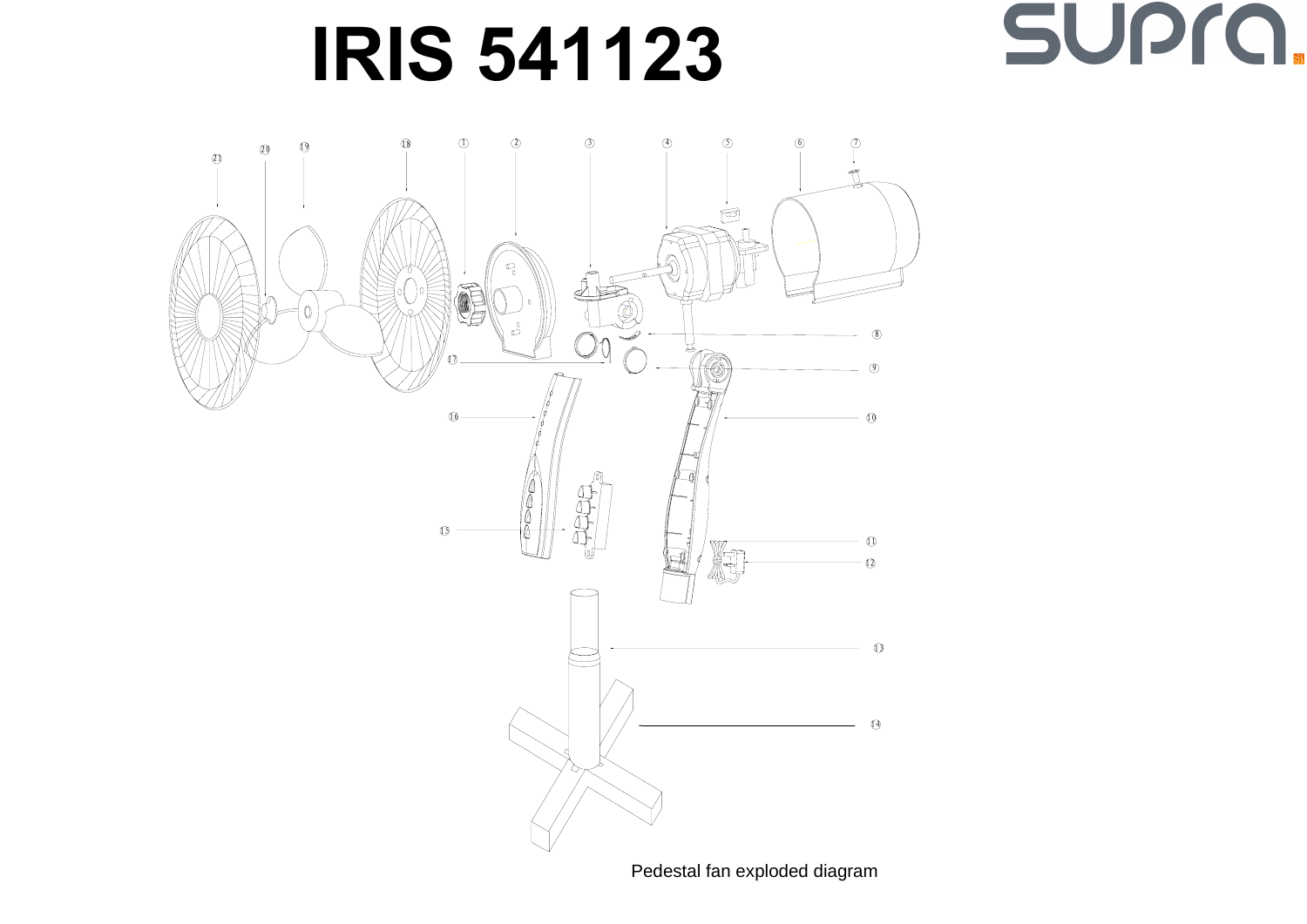## **IRIS 541123**





Pedestal fan exploded diagram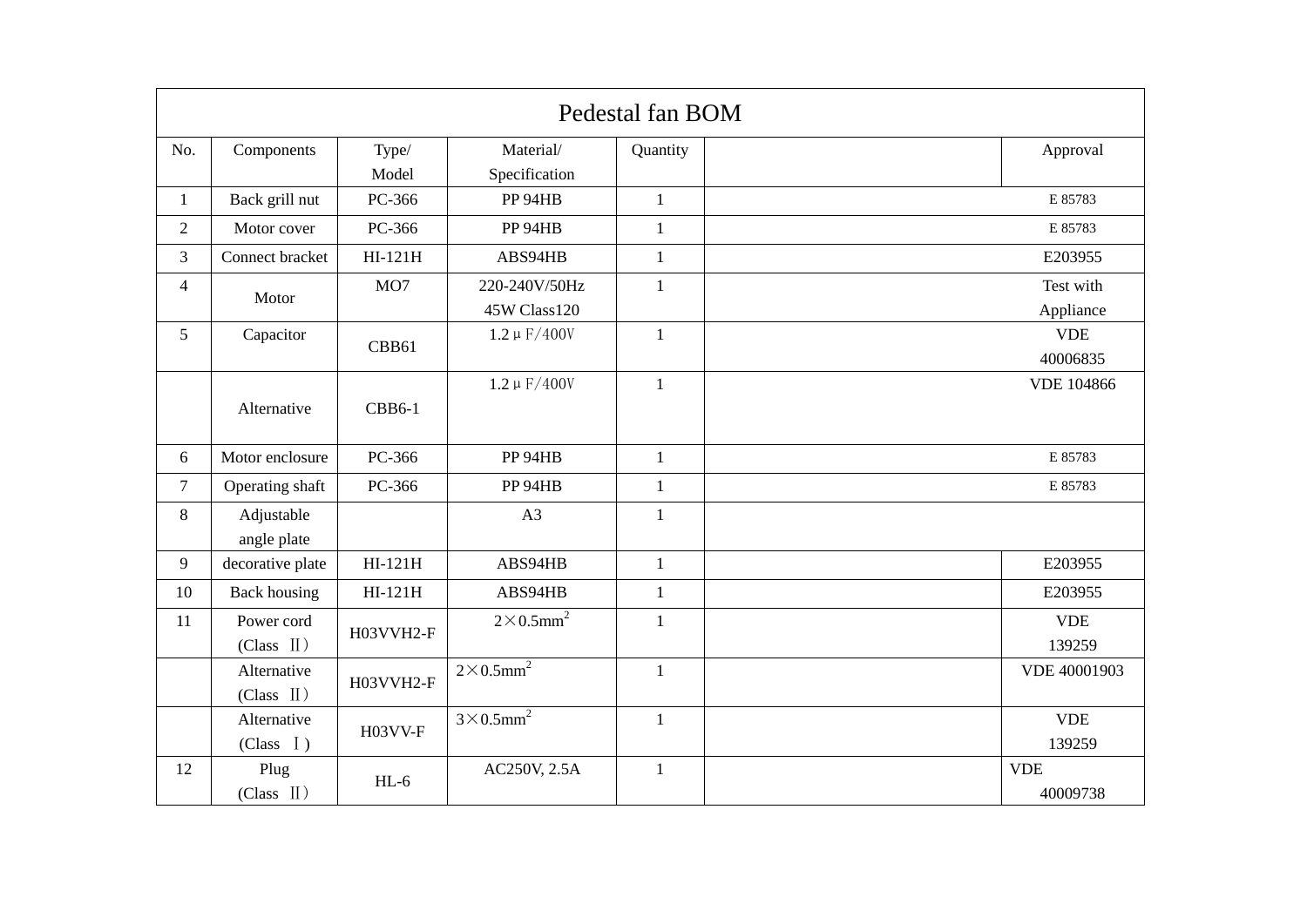| Pedestal fan BOM |                               |               |                              |              |  |                   |  |  |  |  |
|------------------|-------------------------------|---------------|------------------------------|--------------|--|-------------------|--|--|--|--|
| No.              | Components                    | Type/         | Material/                    | Quantity     |  | Approval          |  |  |  |  |
|                  |                               | Model         | Specification                |              |  |                   |  |  |  |  |
| $\mathbf{1}$     | Back grill nut                | PC-366        | PP 94HB                      | $\mathbf{1}$ |  | E 85783           |  |  |  |  |
| $\overline{2}$   | Motor cover                   | PC-366        | PP 94HB                      | $\mathbf{1}$ |  | E 85783           |  |  |  |  |
| $\overline{3}$   | Connect bracket               | $HI-121H$     | ABS94HB                      | $\mathbf{1}$ |  | E203955           |  |  |  |  |
| $\overline{4}$   | Motor                         | MO7           | 220-240V/50Hz                | $\mathbf{1}$ |  | Test with         |  |  |  |  |
|                  |                               |               | 45W Class120                 |              |  | Appliance         |  |  |  |  |
| 5                | Capacitor                     | CBB61         | $1.2 \mu F/400V$             | $\mathbf{1}$ |  | <b>VDE</b>        |  |  |  |  |
|                  |                               |               |                              |              |  | 40006835          |  |  |  |  |
|                  |                               |               | $1.2 \mu F/400V$             | $\mathbf{1}$ |  | <b>VDE 104866</b> |  |  |  |  |
|                  | Alternative                   | <b>CBB6-1</b> |                              |              |  |                   |  |  |  |  |
| 6                | Motor enclosure               | PC-366        | PP 94HB                      | $\mathbf{1}$ |  | E 85783           |  |  |  |  |
| $\tau$           | Operating shaft               | PC-366        | PP 94HB                      | $\mathbf{1}$ |  | E 85783           |  |  |  |  |
| 8                | Adjustable                    |               | A3                           | $\mathbf{1}$ |  |                   |  |  |  |  |
|                  | angle plate                   |               |                              |              |  |                   |  |  |  |  |
| 9                | decorative plate              | $HI-121H$     | ABS94HB                      | $\mathbf{1}$ |  | E203955           |  |  |  |  |
| 10               | <b>Back housing</b>           | $HI-121H$     | ABS94HB                      | $\mathbf{1}$ |  | E203955           |  |  |  |  |
| 11               | Power cord                    | H03VVH2-F     | $2\times0.5$ mm <sup>2</sup> | $\mathbf{1}$ |  | <b>VDE</b>        |  |  |  |  |
|                  | $(Class$ $II)$                |               |                              |              |  | 139259            |  |  |  |  |
|                  | Alternative<br>$(Class$ $II)$ | H03VVH2-F     | $2\times0.5$ mm <sup>2</sup> | $\mathbf{1}$ |  | VDE 40001903      |  |  |  |  |
|                  |                               |               |                              |              |  |                   |  |  |  |  |
|                  | Alternative<br>(Class I)      | H03VV-F       | $3\times0.5$ mm <sup>2</sup> | $\mathbf{1}$ |  | <b>VDE</b>        |  |  |  |  |
|                  |                               |               |                              |              |  | 139259            |  |  |  |  |
| 12               | Plug<br>$(Class$ $II)$        | $HL-6$        | AC250V, 2.5A                 | $\mathbf{1}$ |  | <b>VDE</b>        |  |  |  |  |
|                  |                               |               |                              |              |  | 40009738          |  |  |  |  |